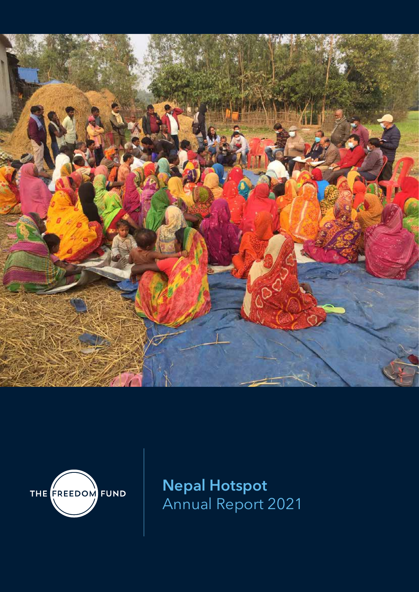



**Nepal Hotspot**  Annual Report 2021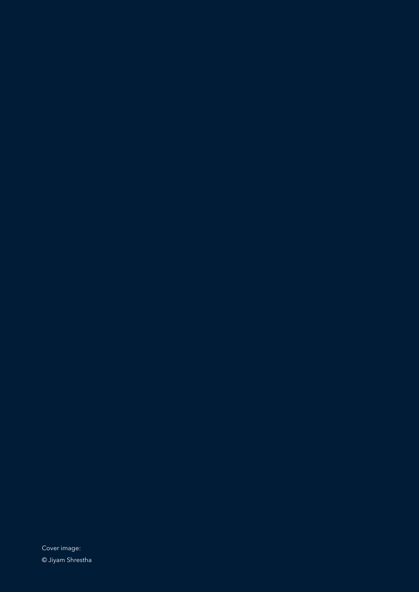Cover image: © Jiyam Shrestha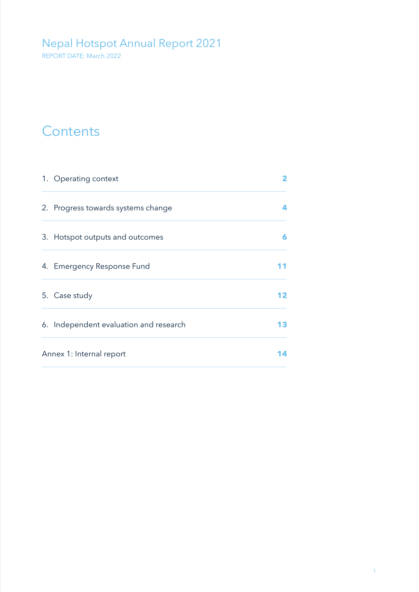### Nepal Hotspot Annual Report 2021

REPORT DATE: March 2022

### **Contents**

| 1. Operating context                   | 2   |
|----------------------------------------|-----|
| 2. Progress towards systems change     |     |
| 3. Hotspot outputs and outcomes        | 6   |
| 4. Emergency Response Fund             |     |
| 5. Case study                          | 12. |
| 6. Independent evaluation and research | 13  |
| Annex 1: Internal report               |     |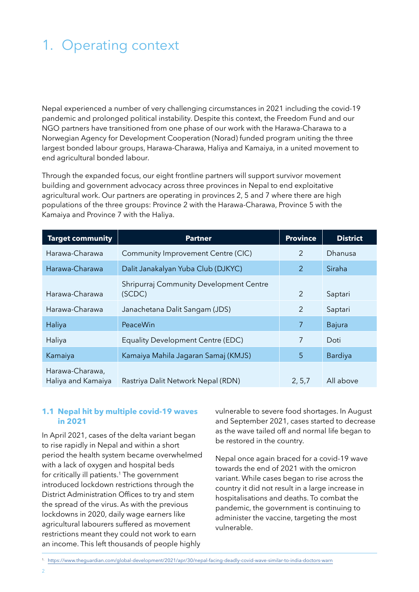# 1. Operating context

Nepal experienced a number of very challenging circumstances in 2021 including the covid-19 pandemic and prolonged political instability. Despite this context, the Freedom Fund and our NGO partners have transitioned from one phase of our work with the Harawa-Charawa to a Norwegian Agency for Development Cooperation (Norad) funded program uniting the three largest bonded labour groups, Harawa-Charawa, Haliya and Kamaiya, in a united movement to end agricultural bonded labour.

Through the expanded focus, our eight frontline partners will support survivor movement building and government advocacy across three provinces in Nepal to end exploitative agricultural work. Our partners are operating in provinces 2, 5 and 7 where there are high populations of the three groups: Province 2 with the Harawa-Charawa, Province 5 with the Kamaiya and Province 7 with the Haliya.

| <b>Target community</b>               | <b>Partner</b>                                    | <b>Province</b> | <b>District</b> |
|---------------------------------------|---------------------------------------------------|-----------------|-----------------|
| Harawa-Charawa                        | Community Improvement Centre (CIC)                | 2               | Dhanusa         |
| Harawa-Charawa                        | Dalit Janakalyan Yuba Club (DJKYC)                | $\overline{2}$  | Siraha          |
| Harawa-Charawa                        | Shripurraj Community Development Centre<br>(SCDC) | 2               | Saptari         |
| Harawa-Charawa                        | Janachetana Dalit Sangam (JDS)                    | 2               | Saptari         |
| Haliya                                | PeaceWin                                          | $\overline{7}$  | Bajura          |
| Haliya                                | <b>Equality Development Centre (EDC)</b>          | 7               | Doti            |
| Kamaiya                               | Kamaiya Mahila Jagaran Samaj (KMJS)               | 5               | Bardiya         |
| Harawa-Charawa,<br>Haliya and Kamaiya | Rastriya Dalit Network Nepal (RDN)                | 2, 5, 7         | All above       |

#### **1.1 Nepal hit by multiple covid-19 waves in 2021**

In April 2021, cases of the delta variant began to rise rapidly in Nepal and within a short period the health system became overwhelmed with a lack of oxygen and hospital beds for critically ill patients.<sup>1</sup> The government introduced lockdown restrictions through the District Administration Offices to try and stem the spread of the virus. As with the previous lockdowns in 2020, daily wage earners like agricultural labourers suffered as movement restrictions meant they could not work to earn an income. This left thousands of people highly

vulnerable to severe food shortages. In August and September 2021, cases started to decrease as the wave tailed off and normal life began to be restored in the country.

Nepal once again braced for a covid-19 wave towards the end of 2021 with the omicron variant. While cases began to rise across the country it did not result in a large increase in hospitalisations and deaths. To combat the pandemic, the government is continuing to administer the vaccine, targeting the most vulnerable.

<sup>1.</sup> https://www.theguardian.com/global-development/2021/apr/30/nepal-facing-deadly-covid-wave-similar-to-india-doctors-warn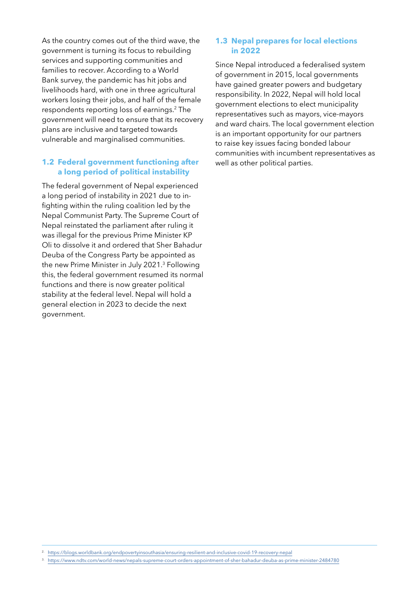As the country comes out of the third wave, the government is turning its focus to rebuilding services and supporting communities and families to recover. According to a World Bank survey, the pandemic has hit jobs and livelihoods hard, with one in three agricultural workers losing their jobs, and half of the female respondents reporting loss of earnings.2 The government will need to ensure that its recovery plans are inclusive and targeted towards vulnerable and marginalised communities.

#### **1.2 Federal government functioning after a long period of political instability**

The federal government of Nepal experienced a long period of instability in 2021 due to infighting within the ruling coalition led by the Nepal Communist Party. The Supreme Court of Nepal reinstated the parliament after ruling it was illegal for the previous Prime Minister KP Oli to dissolve it and ordered that Sher Bahadur Deuba of the Congress Party be appointed as the new Prime Minister in July 2021.3 Following this, the federal government resumed its normal functions and there is now greater political stability at the federal level. Nepal will hold a general election in 2023 to decide the next government.

#### **1.3 Nepal prepares for local elections in 2022**

Since Nepal introduced a federalised system of government in 2015, local governments have gained greater powers and budgetary responsibility. In 2022, Nepal will hold local government elections to elect municipality representatives such as mayors, vice-mayors and ward chairs. The local government election is an important opportunity for our partners to raise key issues facing bonded labour communities with incumbent representatives as well as other political parties.

<sup>2.</sup> https://blogs.worldbank.org/endpovertyinsouthasia/ensuring-resilient-and-inclusive-covid-19-recovery-nepal

<sup>3.</sup> https://www.ndtv.com/world-news/nepals-supreme-court-orders-appointment-of-sher-bahadur-deuba-as-prime-minister-2484780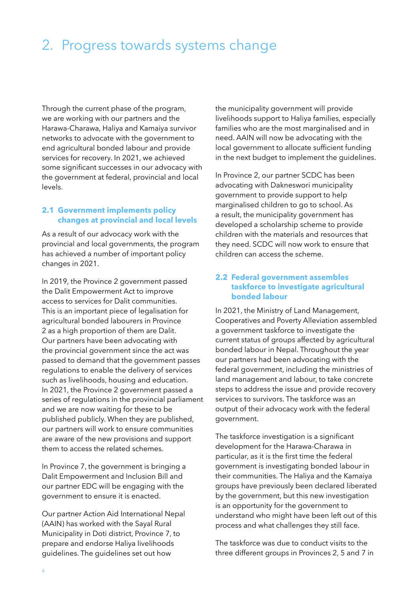### 2. Progress towards systems change

Through the current phase of the program, we are working with our partners and the Harawa-Charawa, Haliya and Kamaiya survivor networks to advocate with the government to end agricultural bonded labour and provide services for recovery. In 2021, we achieved some significant successes in our advocacy with the government at federal, provincial and local levels.

#### **2.1 Government implements policy changes at provincial and local levels**

As a result of our advocacy work with the provincial and local governments, the program has achieved a number of important policy changes in 2021.

In 2019, the Province 2 government passed the Dalit Empowerment Act to improve access to services for Dalit communities. This is an important piece of legalisation for agricultural bonded labourers in Province 2 as a high proportion of them are Dalit. Our partners have been advocating with the provincial government since the act was passed to demand that the government passes regulations to enable the delivery of services such as livelihoods, housing and education. In 2021, the Province 2 government passed a series of regulations in the provincial parliament and we are now waiting for these to be published publicly. When they are published, our partners will work to ensure communities are aware of the new provisions and support them to access the related schemes.

In Province 7, the government is bringing a Dalit Empowerment and Inclusion Bill and our partner EDC will be engaging with the government to ensure it is enacted.

Our partner Action Aid International Nepal (AAIN) has worked with the Sayal Rural Municipality in Doti district, Province 7, to prepare and endorse Haliya livelihoods guidelines. The guidelines set out how

the municipality government will provide livelihoods support to Haliya families, especially families who are the most marginalised and in need. AAIN will now be advocating with the local government to allocate sufficient funding in the next budget to implement the guidelines.

In Province 2, our partner SCDC has been advocating with Dakneswori municipality government to provide support to help marginalised children to go to school. As a result, the municipality government has developed a scholarship scheme to provide children with the materials and resources that they need. SCDC will now work to ensure that children can access the scheme.

#### **2.2 Federal government assembles taskforce to investigate agricultural bonded labour**

In 2021, the Ministry of Land Management, Cooperatives and Poverty Alleviation assembled a government taskforce to investigate the current status of groups affected by agricultural bonded labour in Nepal. Throughout the year our partners had been advocating with the federal government, including the ministries of land management and labour, to take concrete steps to address the issue and provide recovery services to survivors. The taskforce was an output of their advocacy work with the federal government.

The taskforce investigation is a significant development for the Harawa-Charawa in particular, as it is the first time the federal government is investigating bonded labour in their communities. The Haliya and the Kamaiya groups have previously been declared liberated by the government, but this new investigation is an opportunity for the government to understand who might have been left out of this process and what challenges they still face.

The taskforce was due to conduct visits to the three different groups in Provinces 2, 5 and 7 in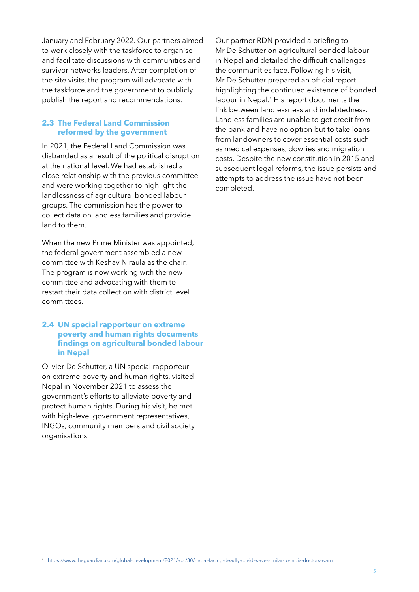January and February 2022. Our partners aimed to work closely with the taskforce to organise and facilitate discussions with communities and survivor networks leaders. After completion of the site visits, the program will advocate with the taskforce and the government to publicly publish the report and recommendations.

#### **2.3 The Federal Land Commission reformed by the government**

In 2021, the Federal Land Commission was disbanded as a result of the political disruption at the national level. We had established a close relationship with the previous committee and were working together to highlight the landlessness of agricultural bonded labour groups. The commission has the power to collect data on landless families and provide land to them.

When the new Prime Minister was appointed, the federal government assembled a new committee with Keshav Niraula as the chair. The program is now working with the new committee and advocating with them to restart their data collection with district level committees.

#### **2.4 UN special rapporteur on extreme poverty and human rights documents findings on agricultural bonded labour in Nepal**

Olivier De Schutter, a UN special rapporteur on extreme poverty and human rights, visited Nepal in November 2021 to assess the government's efforts to alleviate poverty and protect human rights. During his visit, he met with high-level government representatives, INGOs, community members and civil society organisations.

Our partner RDN provided a briefing to Mr De Schutter on agricultural bonded labour in Nepal and detailed the difficult challenges the communities face. Following his visit, Mr De Schutter prepared an official report highlighting the continued existence of bonded labour in Nepal.4 His report documents the link between landlessness and indebtedness. Landless families are unable to get credit from the bank and have no option but to take loans from landowners to cover essential costs such as medical expenses, dowries and migration costs. Despite the new constitution in 2015 and subsequent legal reforms, the issue persists and attempts to address the issue have not been completed.

4. https://www.theguardian.com/global-development/2021/apr/30/nepal-facing-deadly-covid-wave-similar-to-india-doctors-warn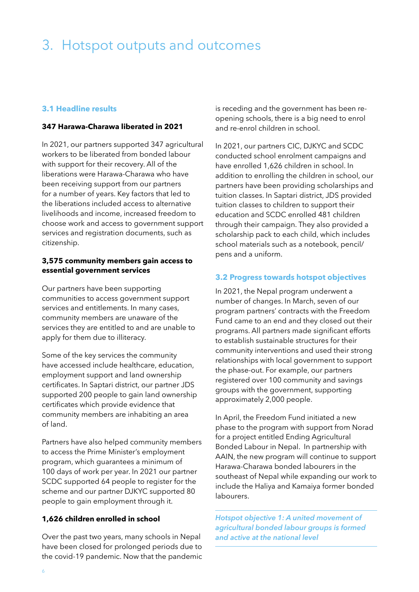### 3. Hotspot outputs and outcomes

#### **3.1 Headline results**

#### **347 Harawa-Charawa liberated in 2021**

In 2021, our partners supported 347 agricultural workers to be liberated from bonded labour with support for their recovery. All of the liberations were Harawa-Charawa who have been receiving support from our partners for a number of years. Key factors that led to the liberations included access to alternative livelihoods and income, increased freedom to choose work and access to government support services and registration documents, such as citizenship.

#### **3,575 community members gain access to essential government services**

Our partners have been supporting communities to access government support services and entitlements. In many cases, community members are unaware of the services they are entitled to and are unable to apply for them due to illiteracy.

Some of the key services the community have accessed include healthcare, education, employment support and land ownership certificates. In Saptari district, our partner JDS supported 200 people to gain land ownership certificates which provide evidence that community members are inhabiting an area of land.

Partners have also helped community members to access the Prime Minister's employment program, which guarantees a minimum of 100 days of work per year. In 2021 our partner SCDC supported 64 people to register for the scheme and our partner DJKYC supported 80 people to gain employment through it.

#### **1,626 children enrolled in school**

Over the past two years, many schools in Nepal have been closed for prolonged periods due to the covid-19 pandemic. Now that the pandemic is receding and the government has been reopening schools, there is a big need to enrol and re-enrol children in school.

In 2021, our partners CIC, DJKYC and SCDC conducted school enrolment campaigns and have enrolled 1,626 children in school. In addition to enrolling the children in school, our partners have been providing scholarships and tuition classes. In Saptari district, JDS provided tuition classes to children to support their education and SCDC enrolled 481 children through their campaign. They also provided a scholarship pack to each child, which includes school materials such as a notebook, pencil/ pens and a uniform.

#### **3.2 Progress towards hotspot objectives**

In 2021, the Nepal program underwent a number of changes. In March, seven of our program partners' contracts with the Freedom Fund came to an end and they closed out their programs. All partners made significant efforts to establish sustainable structures for their community interventions and used their strong relationships with local government to support the phase-out. For example, our partners registered over 100 community and savings groups with the government, supporting approximately 2,000 people.

In April, the Freedom Fund initiated a new phase to the program with support from Norad for a project entitled Ending Agricultural Bonded Labour in Nepal. In partnership with AAIN, the new program will continue to support Harawa-Charawa bonded labourers in the southeast of Nepal while expanding our work to include the Haliya and Kamaiya former bonded labourers.

*Hotspot objective 1: A united movement of agricultural bonded labour groups is formed and active at the national level*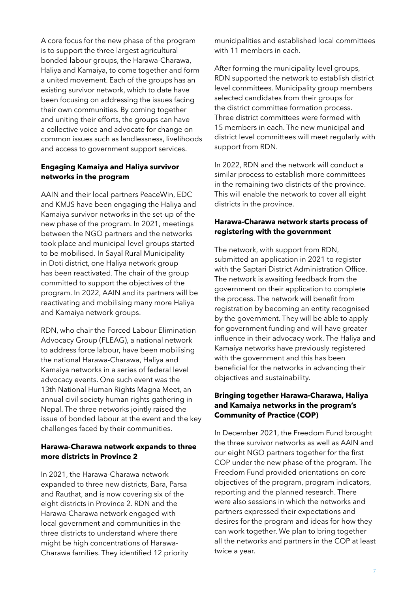A core focus for the new phase of the program is to support the three largest agricultural bonded labour groups, the Harawa-Charawa, Haliya and Kamaiya, to come together and form a united movement. Each of the groups has an existing survivor network, which to date have been focusing on addressing the issues facing their own communities. By coming together and uniting their efforts, the groups can have a collective voice and advocate for change on common issues such as landlessness, livelihoods and access to government support services.

#### **Engaging Kamaiya and Haliya survivor networks in the program**

AAIN and their local partners PeaceWin, EDC and KMJS have been engaging the Haliya and Kamaiya survivor networks in the set-up of the new phase of the program. In 2021, meetings between the NGO partners and the networks took place and municipal level groups started to be mobilised. In Sayal Rural Municipality in Doti district, one Haliya network group has been reactivated. The chair of the group committed to support the objectives of the program. In 2022, AAIN and its partners will be reactivating and mobilising many more Haliya and Kamaiya network groups.

RDN, who chair the Forced Labour Elimination Advocacy Group (FLEAG), a national network to address force labour, have been mobilising the national Harawa-Charawa, Haliya and Kamaiya networks in a series of federal level advocacy events. One such event was the 13th National Human Rights Magna Meet, an annual civil society human rights gathering in Nepal. The three networks jointly raised the issue of bonded labour at the event and the key challenges faced by their communities.

#### **Harawa-Charawa network expands to three more districts in Province 2**

In 2021, the Harawa-Charawa network expanded to three new districts, Bara, Parsa and Rauthat, and is now covering six of the eight districts in Province 2. RDN and the Harawa-Charawa network engaged with local government and communities in the three districts to understand where there might be high concentrations of Harawa-Charawa families. They identified 12 priority

municipalities and established local committees with 11 members in each.

After forming the municipality level groups, RDN supported the network to establish district level committees. Municipality group members selected candidates from their groups for the district committee formation process. Three district committees were formed with 15 members in each. The new municipal and district level committees will meet regularly with support from RDN.

In 2022, RDN and the network will conduct a similar process to establish more committees in the remaining two districts of the province. This will enable the network to cover all eight districts in the province.

#### **Harawa-Charawa network starts process of registering with the government**

The network, with support from RDN, submitted an application in 2021 to register with the Saptari District Administration Office. The network is awaiting feedback from the government on their application to complete the process. The network will benefit from registration by becoming an entity recognised by the government. They will be able to apply for government funding and will have greater influence in their advocacy work. The Haliya and Kamaiya networks have previously registered with the government and this has been beneficial for the networks in advancing their objectives and sustainability.

#### **Bringing together Harawa-Charawa, Haliya and Kamaiya networks in the program's Community of Practice (COP)**

In December 2021, the Freedom Fund brought the three survivor networks as well as AAIN and our eight NGO partners together for the first COP under the new phase of the program. The Freedom Fund provided orientations on core objectives of the program, program indicators, reporting and the planned research. There were also sessions in which the networks and partners expressed their expectations and desires for the program and ideas for how they can work together. We plan to bring together all the networks and partners in the COP at least twice a year.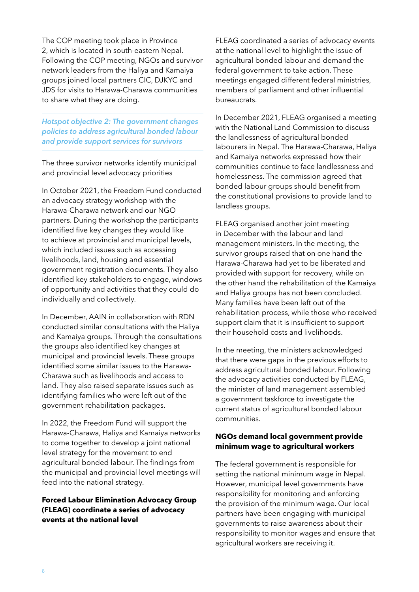The COP meeting took place in Province 2, which is located in south-eastern Nepal. Following the COP meeting, NGOs and survivor network leaders from the Haliya and Kamaiya groups joined local partners CIC, DJKYC and JDS for visits to Harawa-Charawa communities to share what they are doing.

*Hotspot objective 2: The government changes policies to address agricultural bonded labour and provide support services for survivors*

The three survivor networks identify municipal and provincial level advocacy priorities

In October 2021, the Freedom Fund conducted an advocacy strategy workshop with the Harawa-Charawa network and our NGO partners. During the workshop the participants identified five key changes they would like to achieve at provincial and municipal levels, which included issues such as accessing livelihoods, land, housing and essential government registration documents. They also identified key stakeholders to engage, windows of opportunity and activities that they could do individually and collectively.

In December, AAIN in collaboration with RDN conducted similar consultations with the Haliya and Kamaiya groups. Through the consultations the groups also identified key changes at municipal and provincial levels. These groups identified some similar issues to the Harawa-Charawa such as livelihoods and access to land. They also raised separate issues such as identifying families who were left out of the government rehabilitation packages.

In 2022, the Freedom Fund will support the Harawa-Charawa, Haliya and Kamaiya networks to come together to develop a joint national level strategy for the movement to end agricultural bonded labour. The findings from the municipal and provincial level meetings will feed into the national strategy.

#### **Forced Labour Elimination Advocacy Group (FLEAG) coordinate a series of advocacy events at the national level**

FLEAG coordinated a series of advocacy events at the national level to highlight the issue of agricultural bonded labour and demand the federal government to take action. These meetings engaged different federal ministries, members of parliament and other influential bureaucrats.

In December 2021, FLEAG organised a meeting with the National Land Commission to discuss the landlessness of agricultural bonded labourers in Nepal. The Harawa-Charawa, Haliya and Kamaiya networks expressed how their communities continue to face landlessness and homelessness. The commission agreed that bonded labour groups should benefit from the constitutional provisions to provide land to landless groups.

FLEAG organised another joint meeting in December with the labour and land management ministers. In the meeting, the survivor groups raised that on one hand the Harawa-Charawa had yet to be liberated and provided with support for recovery, while on the other hand the rehabilitation of the Kamaiya and Haliya groups has not been concluded. Many families have been left out of the rehabilitation process, while those who received support claim that it is insufficient to support their household costs and livelihoods.

In the meeting, the ministers acknowledged that there were gaps in the previous efforts to address agricultural bonded labour. Following the advocacy activities conducted by FLEAG, the minister of land management assembled a government taskforce to investigate the current status of agricultural bonded labour communities.

#### **NGOs demand local government provide minimum wage to agricultural workers**

The federal government is responsible for setting the national minimum wage in Nepal. However, municipal level governments have responsibility for monitoring and enforcing the provision of the minimum wage. Our local partners have been engaging with municipal governments to raise awareness about their responsibility to monitor wages and ensure that agricultural workers are receiving it.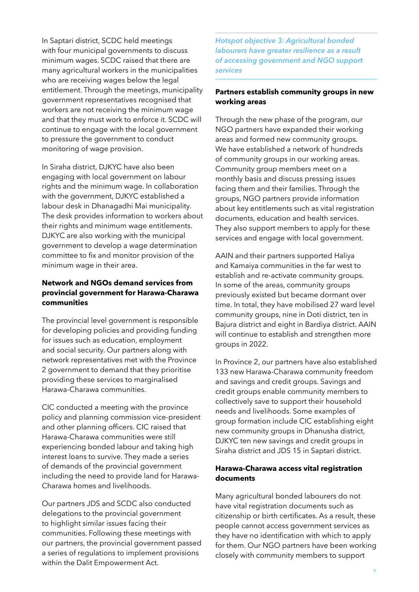In Saptari district, SCDC held meetings with four municipal governments to discuss minimum wages. SCDC raised that there are many agricultural workers in the municipalities who are receiving wages below the legal entitlement. Through the meetings, municipality government representatives recognised that workers are not receiving the minimum wage and that they must work to enforce it. SCDC will continue to engage with the local government to pressure the government to conduct monitoring of wage provision.

In Siraha district, DJKYC have also been engaging with local government on labour rights and the minimum wage. In collaboration with the government, DJKYC established a labour desk in Dhanagadhi Mai municipality. The desk provides information to workers about their rights and minimum wage entitlements. DJKYC are also working with the municipal government to develop a wage determination committee to fix and monitor provision of the minimum wage in their area.

#### **Network and NGOs demand services from provincial government for Harawa-Charawa communities**

The provincial level government is responsible for developing policies and providing funding for issues such as education, employment and social security. Our partners along with network representatives met with the Province 2 government to demand that they prioritise providing these services to marginalised Harawa-Charawa communities.

CIC conducted a meeting with the province policy and planning commission vice-president and other planning officers. CIC raised that Harawa-Charawa communities were still experiencing bonded labour and taking high interest loans to survive. They made a series of demands of the provincial government including the need to provide land for Harawa-Charawa homes and livelihoods.

Our partners JDS and SCDC also conducted delegations to the provincial government to highlight similar issues facing their communities. Following these meetings with our partners, the provincial government passed a series of regulations to implement provisions within the Dalit Empowerment Act.

*Hotspot objective 3: Agricultural bonded labourers have greater resilience as a result of accessing government and NGO support services*

#### **Partners establish community groups in new working areas**

Through the new phase of the program, our NGO partners have expanded their working areas and formed new community groups. We have established a network of hundreds of community groups in our working areas. Community group members meet on a monthly basis and discuss pressing issues facing them and their families. Through the groups, NGO partners provide information about key entitlements such as vital registration documents, education and health services. They also support members to apply for these services and engage with local government.

AAIN and their partners supported Haliya and Kamaiya communities in the far west to establish and re-activate community groups. In some of the areas, community groups previously existed but became dormant over time. In total, they have mobilised 27 ward level community groups, nine in Doti district, ten in Bajura district and eight in Bardiya district. AAIN will continue to establish and strengthen more groups in 2022.

In Province 2, our partners have also established 133 new Harawa-Charawa community freedom and savings and credit groups. Savings and credit groups enable community members to collectively save to support their household needs and livelihoods. Some examples of group formation include CIC establishing eight new community groups in Dhanusha district, DJKYC ten new savings and credit groups in Siraha district and JDS 15 in Saptari district.

#### **Harawa-Charawa access vital registration documents**

Many agricultural bonded labourers do not have vital registration documents such as citizenship or birth certificates. As a result, these people cannot access government services as they have no identification with which to apply for them. Our NGO partners have been working closely with community members to support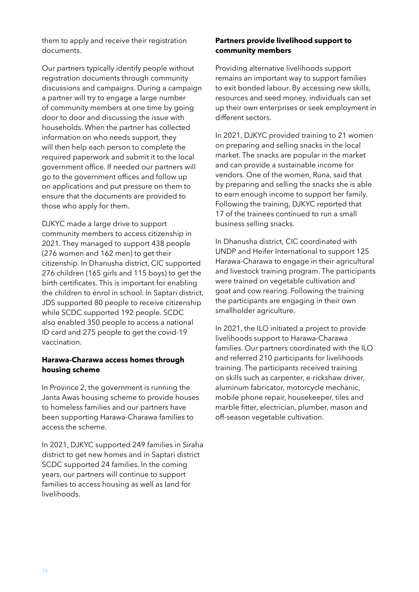them to apply and receive their registration documents.

Our partners typically identify people without registration documents through community discussions and campaigns. During a campaign a partner will try to engage a large number of community members at one time by going door to door and discussing the issue with households. When the partner has collected information on who needs support, they will then help each person to complete the required paperwork and submit it to the local government office. If needed our partners will go to the government offices and follow up on applications and put pressure on them to ensure that the documents are provided to those who apply for them.

DJKYC made a large drive to support community members to access citizenship in 2021. They managed to support 438 people (276 women and 162 men) to get their citizenship. In Dhanusha district, CIC supported 276 children (165 girls and 115 boys) to get the birth certificates. This is important for enabling the children to enrol in school. In Saptari district, JDS supported 80 people to receive citizenship while SCDC supported 192 people. SCDC also enabled 350 people to access a national ID card and 275 people to get the covid-19 vaccination.

#### **Harawa-Charawa access homes through housing scheme**

In Province 2, the government is running the Janta Awas housing scheme to provide houses to homeless families and our partners have been supporting Harawa-Charawa families to access the scheme.

In 2021, DJKYC supported 249 families in Siraha district to get new homes and in Saptari district SCDC supported 24 families. In the coming years, our partners will continue to support families to access housing as well as land for livelihoods.

#### **Partners provide livelihood support to community members**

Providing alternative livelihoods support remains an important way to support families to exit bonded labour. By accessing new skills, resources and seed money, individuals can set up their own enterprises or seek employment in different sectors.

In 2021, DJKYC provided training to 21 women on preparing and selling snacks in the local market. The snacks are popular in the market and can provide a sustainable income for vendors. One of the women, Runa, said that by preparing and selling the snacks she is able to earn enough income to support her family. Following the training, DJKYC reported that 17 of the trainees continued to run a small business selling snacks.

In Dhanusha district, CIC coordinated with UNDP and Heifer International to support 125 Harawa-Charawa to engage in their agricultural and livestock training program. The participants were trained on vegetable cultivation and goat and cow rearing. Following the training the participants are engaging in their own smallholder agriculture.

In 2021, the ILO initiated a project to provide livelihoods support to Harawa-Charawa families. Our partners coordinated with the ILO and referred 210 participants for livelihoods training. The participants received training on skills such as carpenter, e-rickshaw driver, aluminum fabricator, motorcycle mechanic, mobile phone repair, housekeeper, tiles and marble fitter, electrician, plumber, mason and off-season vegetable cultivation.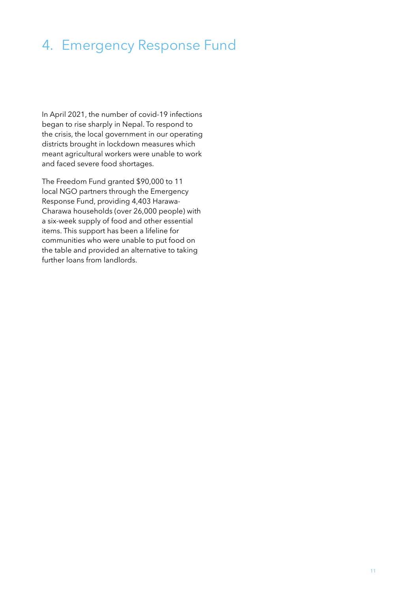## 4. Emergency Response Fund

In April 2021, the number of covid-19 infections began to rise sharply in Nepal. To respond to the crisis, the local government in our operating districts brought in lockdown measures which meant agricultural workers were unable to work and faced severe food shortages.

The Freedom Fund granted \$90,000 to 11 local NGO partners through the Emergency Response Fund, providing 4,403 Harawa-Charawa households (over 26,000 people) with a six-week supply of food and other essential items. This support has been a lifeline for communities who were unable to put food on the table and provided an alternative to taking further loans from landlords.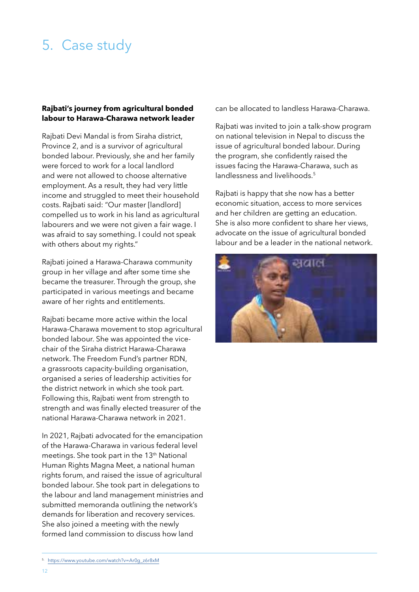## 5. Case study

#### **Rajbati's journey from agricultural bonded labour to Harawa-Charawa network leader**

Rajbati Devi Mandal is from Siraha district, Province 2, and is a survivor of agricultural bonded labour. Previously, she and her family were forced to work for a local landlord and were not allowed to choose alternative employment. As a result, they had very little income and struggled to meet their household costs. Rajbati said: "Our master [landlord] compelled us to work in his land as agricultural labourers and we were not given a fair wage. I was afraid to say something. I could not speak with others about my rights."

Rajbati joined a Harawa-Charawa community group in her village and after some time she became the treasurer. Through the group, she participated in various meetings and became aware of her rights and entitlements.

Rajbati became more active within the local Harawa-Charawa movement to stop agricultural bonded labour. She was appointed the vicechair of the Siraha district Harawa-Charawa network. The Freedom Fund's partner RDN, a grassroots capacity-building organisation, organised a series of leadership activities for the district network in which she took part. Following this, Rajbati went from strength to strength and was finally elected treasurer of the national Harawa-Charawa network in 2021.

In 2021, Rajbati advocated for the emancipation of the Harawa-Charawa in various federal level meetings. She took part in the 13th National Human Rights Magna Meet, a national human rights forum, and raised the issue of agricultural bonded labour. She took part in delegations to the labour and land management ministries and submitted memoranda outlining the network's demands for liberation and recovery services. She also joined a meeting with the newly formed land commission to discuss how land

can be allocated to landless Harawa-Charawa.

Rajbati was invited to join a talk-show program on national television in Nepal to discuss the issue of agricultural bonded labour. During the program, she confidently raised the issues facing the Harawa-Charawa, such as landlessness and livelihoods.<sup>5</sup>

Rajbati is happy that she now has a better economic situation, access to more services and her children are getting an education. She is also more confident to share her views, advocate on the issue of agricultural bonded labour and be a leader in the national network.



<sup>5.</sup> https://www.youtube.com/watch?v=Ar0g\_z6r8xM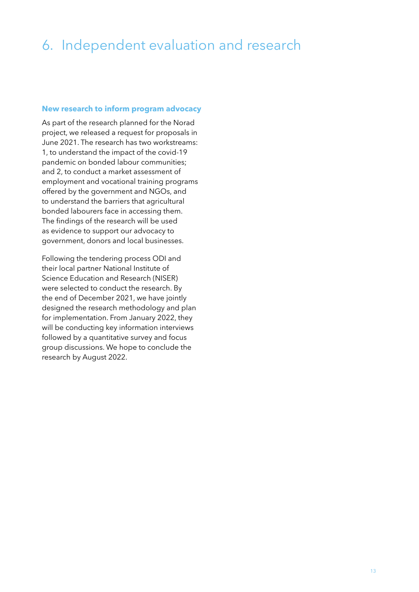# 6. Independent evaluation and research

#### **New research to inform program advocacy**

As part of the research planned for the Norad project, we released a request for proposals in June 2021. The research has two workstreams: 1, to understand the impact of the covid-19 pandemic on bonded labour communities; and 2, to conduct a market assessment of employment and vocational training programs offered by the government and NGOs, and to understand the barriers that agricultural bonded labourers face in accessing them. The findings of the research will be used as evidence to support our advocacy to government, donors and local businesses.

Following the tendering process ODI and their local partner National Institute of Science Education and Research (NISER) were selected to conduct the research. By the end of December 2021, we have jointly designed the research methodology and plan for implementation. From January 2022, they will be conducting key information interviews followed by a quantitative survey and focus group discussions. We hope to conclude the research by August 2022.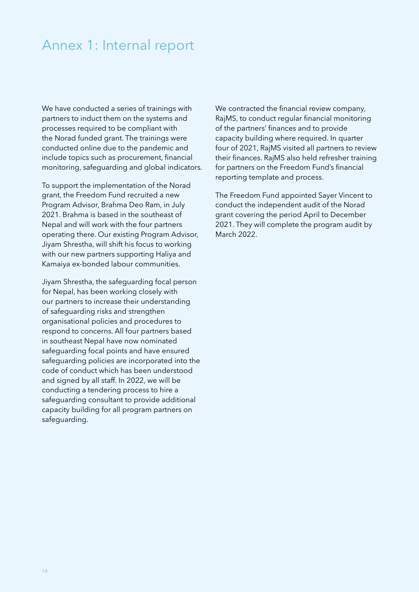### Annex 1: Internal report

We have conducted a series of trainings with partners to induct them on the systems and processes required to be compliant with the Norad funded grant. The trainings were conducted online due to the pandemic and include topics such as procurement, financial monitoring, safeguarding and global indicators.

To support the implementation of the Norad grant, the Freedom Fund recruited a new Program Advisor, Brahma Deo Ram, in July 2021. Brahma is based in the southeast of Nepal and will work with the four partners operating there. Our existing Program Advisor, Jiyam Shrestha, will shift his focus to working with our new partners supporting Haliya and Kamaiya ex-bonded labour communities.

Jiyam Shrestha, the safeguarding focal person for Nepal, has been working closely with our partners to increase their understanding of safeguarding risks and strengthen organisational policies and procedures to respond to concerns. All four partners based in southeast Nepal have now nominated safeguarding focal points and have ensured safeguarding policies are incorporated into the code of conduct which has been understood and signed by all staff. In 2022, we will be conducting a tendering process to hire a safeguarding consultant to provide additional capacity building for all program partners on safeguarding.

We contracted the financial review company, RajMS, to conduct regular financial monitoring of the partners' finances and to provide capacity building where required. In quarter four of 2021, RajMS visited all partners to review their finances. RajMS also held refresher training for partners on the Freedom Fund's financial reporting template and process.

The Freedom Fund appointed Sayer Vincent to conduct the independent audit of the Norad grant covering the period April to December 2021. They will complete the program audit by March 2022.